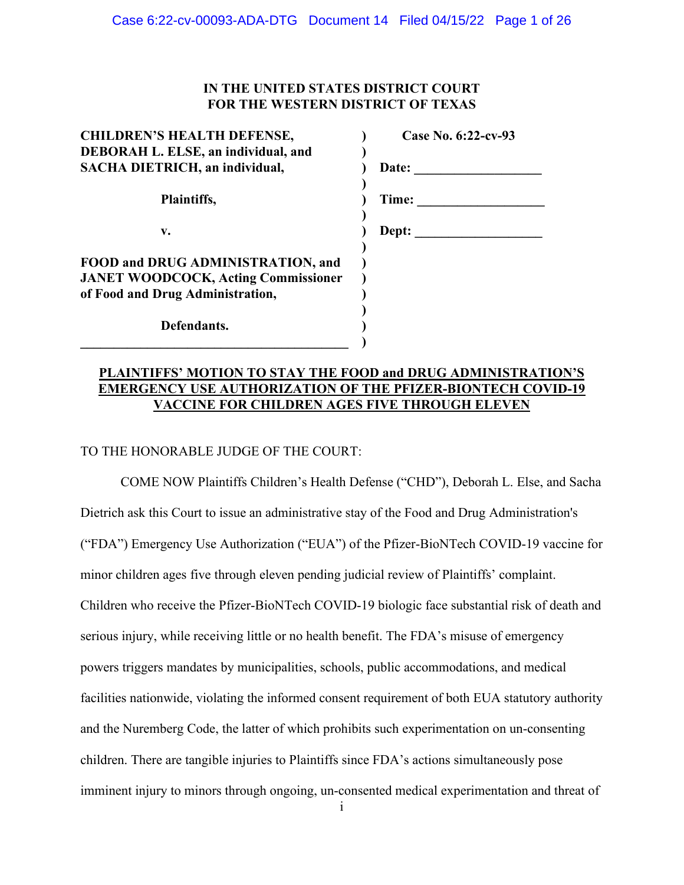# **IN THE UNITED STATES DISTRICT COURT FOR THE WESTERN DISTRICT OF TEXAS**

| <b>CHILDREN'S HEALTH DEFENSE,</b>          | Case No. 6:22-cv-93 |
|--------------------------------------------|---------------------|
| DEBORAH L. ELSE, an individual, and        |                     |
| SACHA DIETRICH, an individual,             | Date:               |
|                                            |                     |
| Plaintiffs,                                | Time:               |
|                                            |                     |
| v.                                         | Dept:               |
|                                            |                     |
| FOOD and DRUG ADMINISTRATION, and          |                     |
| <b>JANET WOODCOCK, Acting Commissioner</b> |                     |
| of Food and Drug Administration,           |                     |
|                                            |                     |
| Defendants.                                |                     |
|                                            |                     |

# **PLAINTIFFS' MOTION TO STAY THE FOOD and DRUG ADMINISTRATION'S EMERGENCY USE AUTHORIZATION OF THE PFIZER-BIONTECH COVID-19 VACCINE FOR CHILDREN AGES FIVE THROUGH ELEVEN**

# TO THE HONORABLE JUDGE OF THE COURT:

COME NOW Plaintiffs Children's Health Defense ("CHD"), Deborah L. Else, and Sacha Dietrich ask this Court to issue an administrative stay of the Food and Drug Administration's ("FDA") Emergency Use Authorization ("EUA") of the Pfizer-BioNTech COVID-19 vaccine for minor children ages five through eleven pending judicial review of Plaintiffs' complaint. Children who receive the Pfizer-BioNTech COVID-19 biologic face substantial risk of death and serious injury, while receiving little or no health benefit. The FDA's misuse of emergency powers triggers mandates by municipalities, schools, public accommodations, and medical facilities nationwide, violating the informed consent requirement of both EUA statutory authority and the Nuremberg Code, the latter of which prohibits such experimentation on un-consenting children. There are tangible injuries to Plaintiffs since FDA's actions simultaneously pose imminent injury to minors through ongoing, un-consented medical experimentation and threat of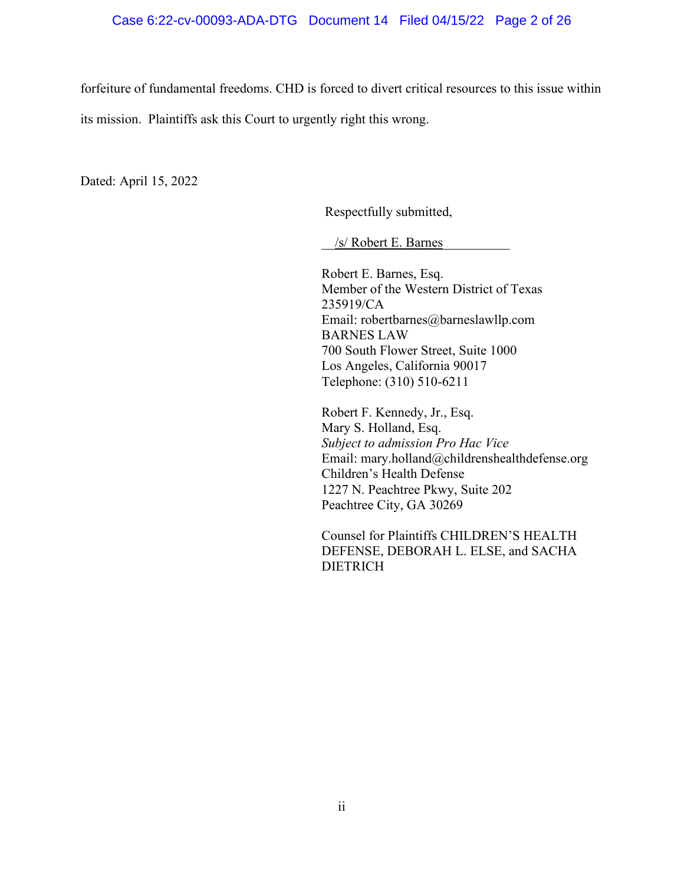forfeiture of fundamental freedoms. CHD is forced to divert critical resources to this issue within

its mission. Plaintiffs ask this Court to urgently right this wrong.

Dated: April 15, 2022

Respectfully submitted,

\_\_/s/ Robert E. Barnes\_\_\_\_\_\_\_\_\_\_

Robert E. Barnes, Esq. Member of the Western District of Texas 235919/CA Email: robertbarnes@barneslawllp.com BARNES LAW 700 South Flower Street, Suite 1000 Los Angeles, California 90017 Telephone: (310) 510-6211

Robert F. Kennedy, Jr., Esq. Mary S. Holland, Esq. *Subject to admission Pro Hac Vice* Email: mary.holland@childrenshealthdefense.org Children's Health Defense 1227 N. Peachtree Pkwy, Suite 202 Peachtree City, GA 30269

Counsel for Plaintiffs CHILDREN'S HEALTH DEFENSE, DEBORAH L. ELSE, and SACHA DIETRICH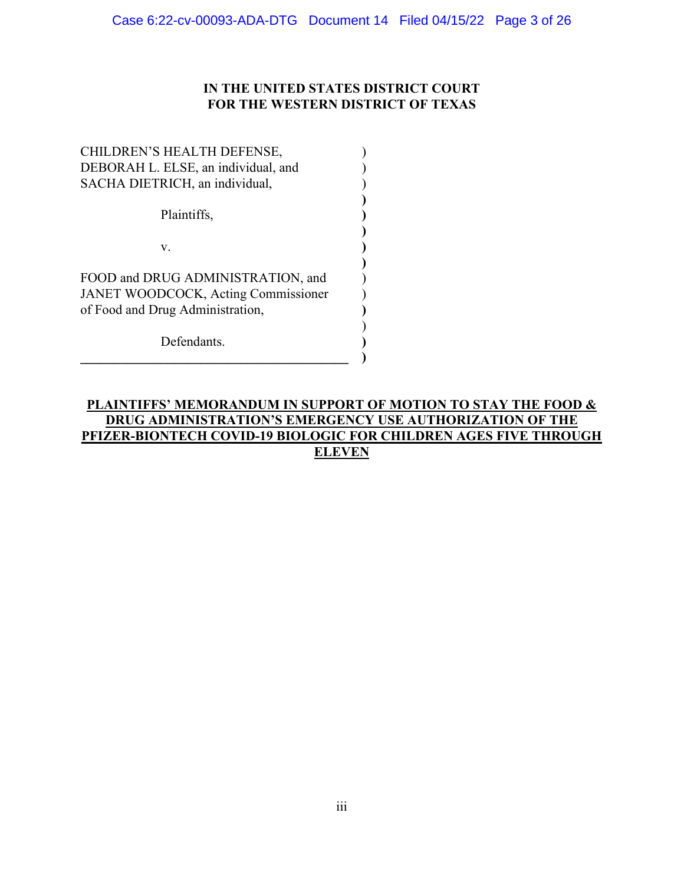# **IN THE UNITED STATES DISTRICT COURT FOR THE WESTERN DISTRICT OF TEXAS**

**)** 

**)** 

**)** 

| CHILDREN'S HEALTH DEFENSE,<br>DEBORAH L. ELSE, an individual, and<br>SACHA DIETRICH, an individual,                 |  |
|---------------------------------------------------------------------------------------------------------------------|--|
| Plaintiffs,                                                                                                         |  |
| V.                                                                                                                  |  |
| FOOD and DRUG ADMINISTRATION, and<br><b>JANET WOODCOCK, Acting Commissioner</b><br>of Food and Drug Administration, |  |
| Defendants.                                                                                                         |  |

# **PLAINTIFFS' MEMORANDUM IN SUPPORT OF MOTION TO STAY THE FOOD & DRUG ADMINISTRATION'S EMERGENCY USE AUTHORIZATION OF THE PFIZER-BIONTECH COVID-19 BIOLOGIC FOR CHILDREN AGES FIVE THROUGH ELEVEN**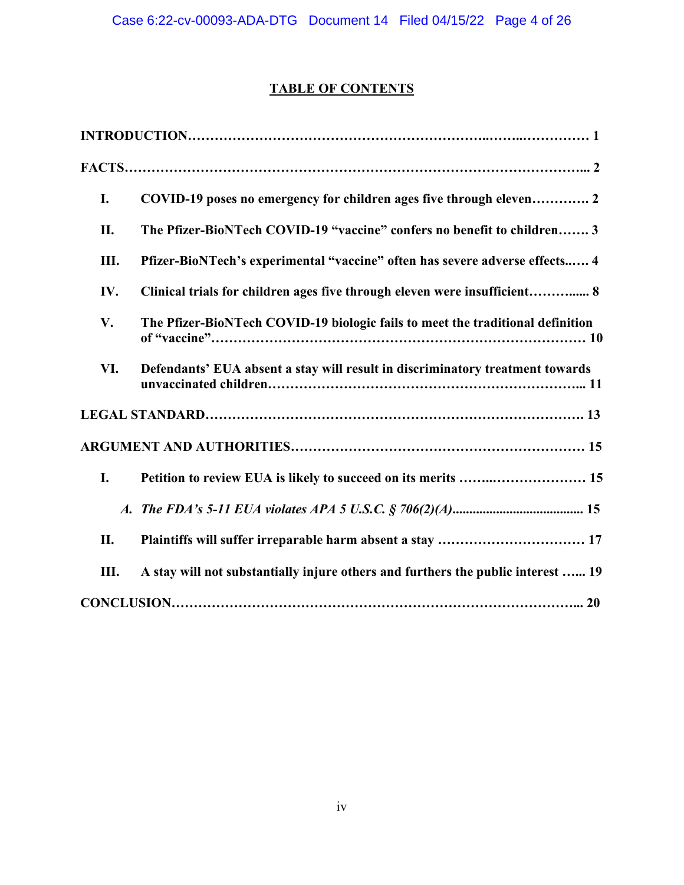# **TABLE OF CONTENTS**

| I.  | COVID-19 poses no emergency for children ages five through eleven 2              |
|-----|----------------------------------------------------------------------------------|
| II. | The Pfizer-BioNTech COVID-19 "vaccine" confers no benefit to children 3          |
| Ш.  | Pfizer-BioNTech's experimental "vaccine" often has severe adverse effects 4      |
| IV. | Clinical trials for children ages five through eleven were insufficient 8        |
| V.  | The Pfizer-BioNTech COVID-19 biologic fails to meet the traditional definition   |
| VI. | Defendants' EUA absent a stay will result in discriminatory treatment towards    |
|     |                                                                                  |
|     |                                                                                  |
| I.  | Petition to review EUA is likely to succeed on its merits  15                    |
|     |                                                                                  |
| II. |                                                                                  |
| Ш.  | A stay will not substantially injure others and furthers the public interest  19 |
|     |                                                                                  |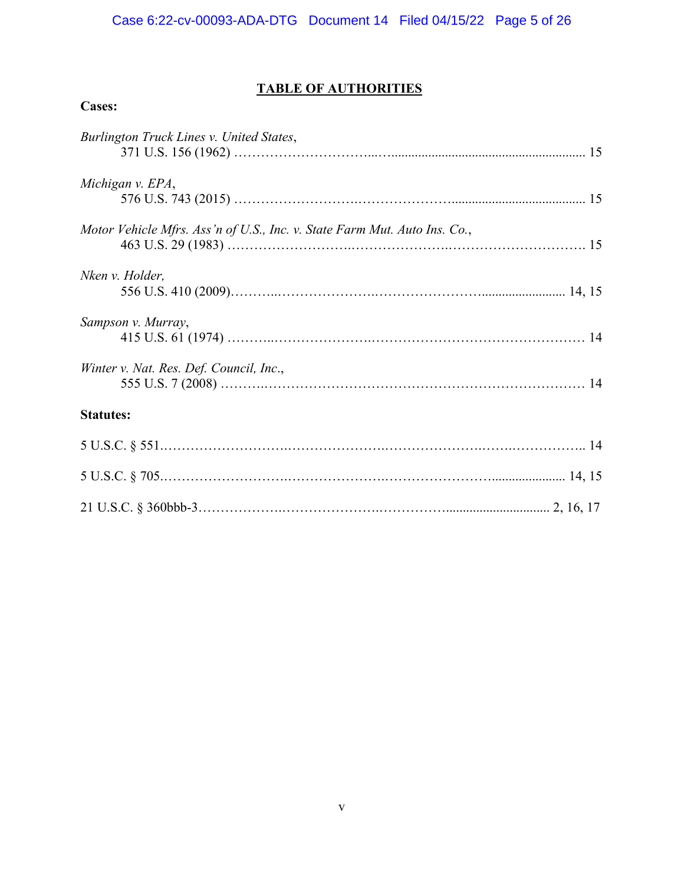# **TABLE OF AUTHORITIES**

| .,<br>s.<br>л |
|---------------|
|---------------|

| Burlington Truck Lines v. United States,                                  |
|---------------------------------------------------------------------------|
| Michigan v. EPA,                                                          |
| Motor Vehicle Mfrs. Ass'n of U.S., Inc. v. State Farm Mut. Auto Ins. Co., |
| Nken v. Holder,                                                           |
| Sampson v. Murray,                                                        |
| Winter v. Nat. Res. Def. Council, Inc.,                                   |
| <b>Statutes:</b>                                                          |
|                                                                           |
|                                                                           |
|                                                                           |
|                                                                           |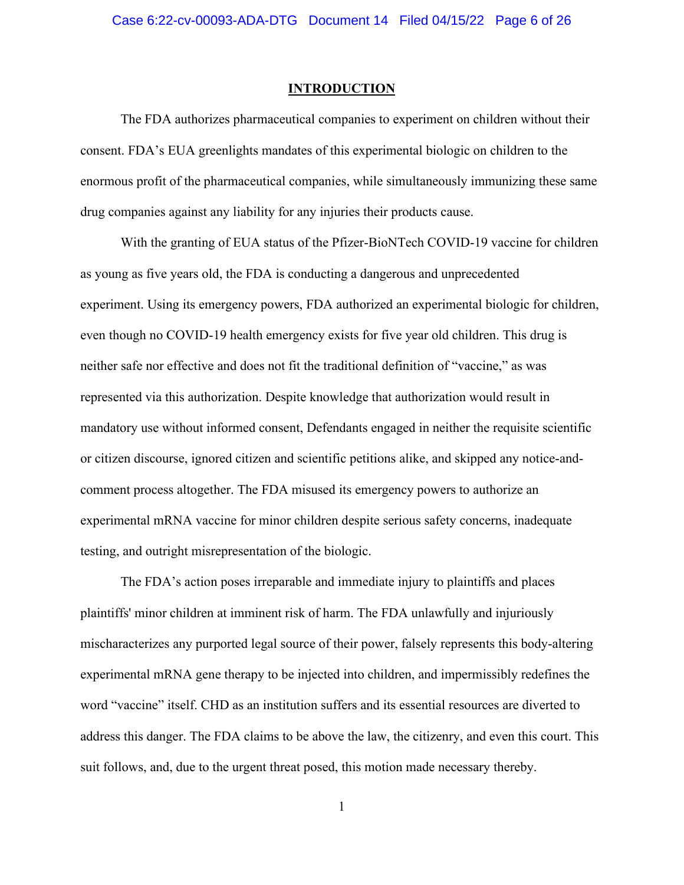#### **INTRODUCTION**

The FDA authorizes pharmaceutical companies to experiment on children without their consent. FDA's EUA greenlights mandates of this experimental biologic on children to the enormous profit of the pharmaceutical companies, while simultaneously immunizing these same drug companies against any liability for any injuries their products cause.

With the granting of EUA status of the Pfizer-BioNTech COVID-19 vaccine for children as young as five years old, the FDA is conducting a dangerous and unprecedented experiment. Using its emergency powers, FDA authorized an experimental biologic for children, even though no COVID-19 health emergency exists for five year old children. This drug is neither safe nor effective and does not fit the traditional definition of "vaccine," as was represented via this authorization. Despite knowledge that authorization would result in mandatory use without informed consent, Defendants engaged in neither the requisite scientific or citizen discourse, ignored citizen and scientific petitions alike, and skipped any notice-andcomment process altogether. The FDA misused its emergency powers to authorize an experimental mRNA vaccine for minor children despite serious safety concerns, inadequate testing, and outright misrepresentation of the biologic.

The FDA's action poses irreparable and immediate injury to plaintiffs and places plaintiffs' minor children at imminent risk of harm. The FDA unlawfully and injuriously mischaracterizes any purported legal source of their power, falsely represents this body-altering experimental mRNA gene therapy to be injected into children, and impermissibly redefines the word "vaccine" itself. CHD as an institution suffers and its essential resources are diverted to address this danger. The FDA claims to be above the law, the citizenry, and even this court. This suit follows, and, due to the urgent threat posed, this motion made necessary thereby.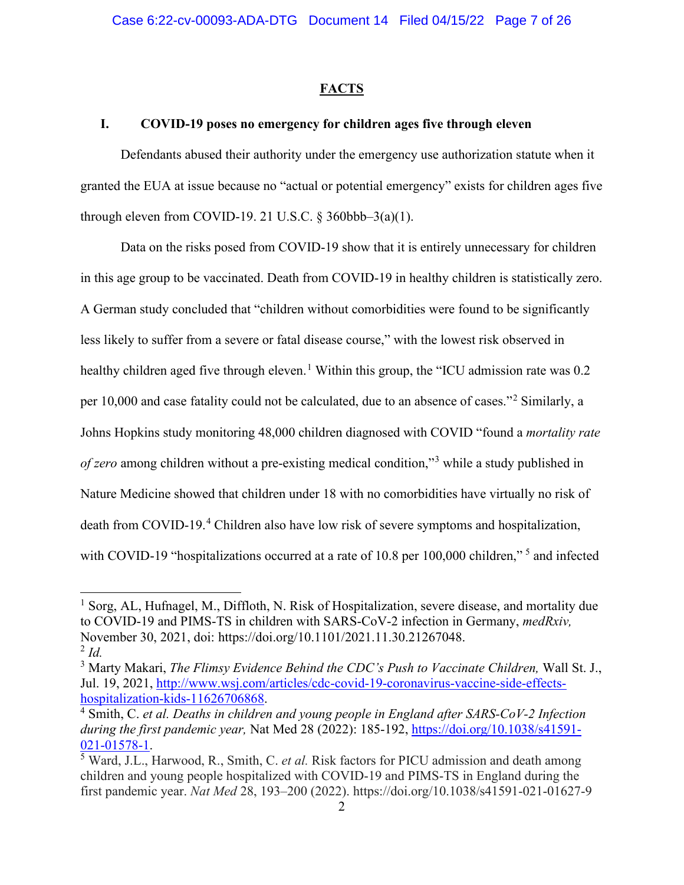### **FACTS**

### **I. COVID-19 poses no emergency for children ages five through eleven**

Defendants abused their authority under the emergency use authorization statute when it granted the EUA at issue because no "actual or potential emergency" exists for children ages five through eleven from COVID-19. 21 U.S.C.  $\S$  360bbb–3(a)(1).

Data on the risks posed from COVID-19 show that it is entirely unnecessary for children in this age group to be vaccinated. Death from COVID-19 in healthy children is statistically zero. A German study concluded that "children without comorbidities were found to be significantly less likely to suffer from a severe or fatal disease course," with the lowest risk observed in healthy children aged five through eleven.<sup>[1](#page-6-0)</sup> Within this group, the "ICU admission rate was 0.2 per 10,000 and case fatality could not be calculated, due to an absence of cases."[2](#page-6-1) Similarly, a Johns Hopkins study monitoring 48,000 children diagnosed with COVID "found a *mortality rate of zero* among children without a pre-existing medical condition,"[3](#page-6-2) while a study published in Nature Medicine showed that children under 18 with no comorbidities have virtually no risk of death from COVID-19.<sup>[4](#page-6-3)</sup> Children also have low risk of severe symptoms and hospitalization, with COVID-19 "hospitalizations occurred at a rate of 10.8 per 100,000 children,"<sup>[5](#page-6-4)</sup> and infected

<span id="page-6-0"></span><sup>&</sup>lt;sup>1</sup> Sorg, AL, Hufnagel, M., Diffloth, N. Risk of Hospitalization, severe disease, and mortality due to COVID-19 and PIMS-TS in children with SARS-CoV-2 infection in Germany, *medRxiv,*  November 30, 2021, doi: https://doi.org/10.1101/2021.11.30.21267048.  $^{2}$  *Id.* 

<span id="page-6-2"></span><span id="page-6-1"></span><sup>3</sup> Marty Makari, *The Flimsy Evidence Behind the CDC's Push to Vaccinate Children,* Wall St. J., Jul. 19, 2021, [http://www.wsj.com/articles/cdc-covid-19-coronavirus-vaccine-side-effects](http://www.wsj.com/articles/cdc-covid-19-coronavirus-vaccine-side-effects-hospitalization-kids-11626706868)[hospitalization-kids-11626706868.](http://www.wsj.com/articles/cdc-covid-19-coronavirus-vaccine-side-effects-hospitalization-kids-11626706868) 4 Smith, C. *et al. Deaths in children and young people in England after SARS-CoV-2 Infection* 

<span id="page-6-3"></span>*during the first pandemic year,* Nat Med 28 (2022): 185-192, [https://doi.org/10.1038/s41591-](https://doi.org/10.1038/s41591-021-01578-1) [021-01578-1.](https://doi.org/10.1038/s41591-021-01578-1) 5 Ward, J.L., Harwood, R., Smith, C. *et al.* Risk factors for PICU admission and death among

<span id="page-6-4"></span>children and young people hospitalized with COVID-19 and PIMS-TS in England during the first pandemic year. *Nat Med* 28, 193–200 (2022). https://doi.org/10.1038/s41591-021-01627-9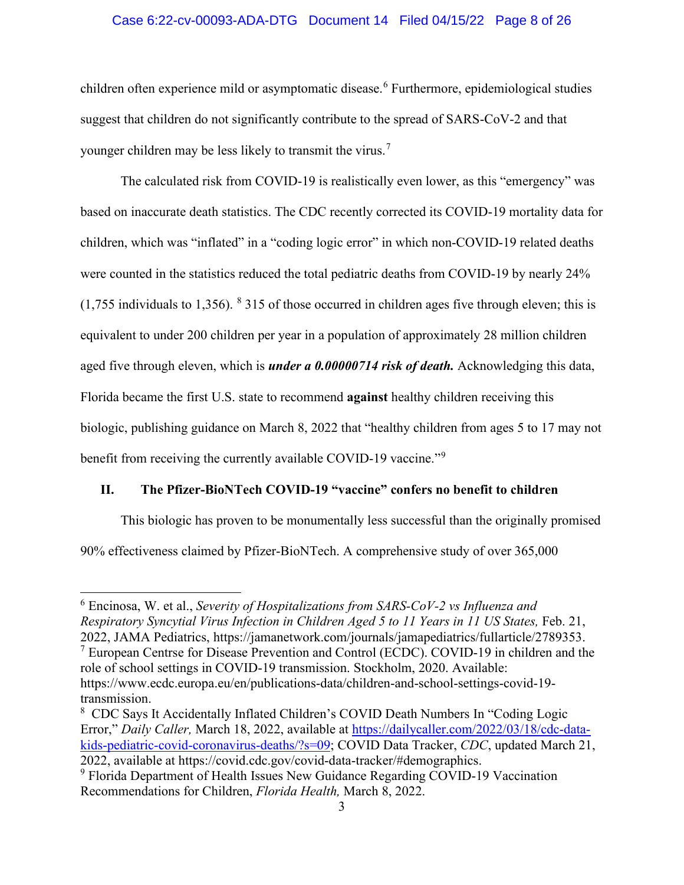### Case 6:22-cv-00093-ADA-DTG Document 14 Filed 04/15/22 Page 8 of 26

children often experience mild or asymptomatic disease. [6](#page-7-0) Furthermore, epidemiological studies suggest that children do not significantly contribute to the spread of SARS-CoV-2 and that younger children may be less likely to transmit the virus.<sup>[7](#page-7-1)</sup>

The calculated risk from COVID-19 is realistically even lower, as this "emergency" was based on inaccurate death statistics. The CDC recently corrected its COVID-19 mortality data for children, which was "inflated" in a "coding logic error" in which non-COVID-19 related deaths were counted in the statistics reduced the total pediatric deaths from COVID-19 by nearly 24%  $(1,755)$  individuals to 1,356). <sup>[8](#page-7-2)</sup> 315 of those occurred in children ages five through eleven; this is equivalent to under 200 children per year in a population of approximately 28 million children aged five through eleven, which is *under a 0.00000714 risk of death.* Acknowledging this data, Florida became the first U.S. state to recommend **against** healthy children receiving this biologic, publishing guidance on March 8, 2022 that "healthy children from ages 5 to 17 may not benefit from receiving the currently available COVID-1[9](#page-7-3) vaccine."<sup>9</sup>

# **II. The Pfizer-BioNTech COVID-19 "vaccine" confers no benefit to children**

This biologic has proven to be monumentally less successful than the originally promised 90% effectiveness claimed by Pfizer-BioNTech. A comprehensive study of over 365,000

<span id="page-7-0"></span><sup>6</sup> Encinosa, W. et al., *Severity of Hospitalizations from SARS-CoV-2 vs Influenza and Respiratory Syncytial Virus Infection in Children Aged 5 to 11 Years in 11 US States,* Feb. 21, 2022, JAMA Pediatrics, https://jamanetwork.com/journals/jamapediatrics/fullarticle/2789353.

<span id="page-7-1"></span><sup>&</sup>lt;sup>7</sup> European Centrse for Disease Prevention and Control (ECDC). COVID-19 in children and the role of school settings in COVID-19 transmission. Stockholm, 2020. Available: https://www.ecdc.europa.eu/en/publications-data/children-and-school-settings-covid-19 transmission.

<span id="page-7-2"></span><sup>&</sup>lt;sup>8</sup> CDC Says It Accidentally Inflated Children's COVID Death Numbers In "Coding Logic Error," *Daily Caller,* March 18, 2022, available at [https://dailycaller.com/2022/03/18/cdc-data](https://dailycaller.com/2022/03/18/cdc-data-kids-pediatric-covid-coronavirus-deaths/?s=09)[kids-pediatric-covid-coronavirus-deaths/?s=09;](https://dailycaller.com/2022/03/18/cdc-data-kids-pediatric-covid-coronavirus-deaths/?s=09) COVID Data Tracker, *CDC*, updated March 21, 2022, available at https://covid.cdc.gov/covid-data-tracker/#demographics.

<span id="page-7-3"></span><sup>&</sup>lt;sup>9</sup> Florida Department of Health Issues New Guidance Regarding COVID-19 Vaccination Recommendations for Children, *Florida Health,* March 8, 2022.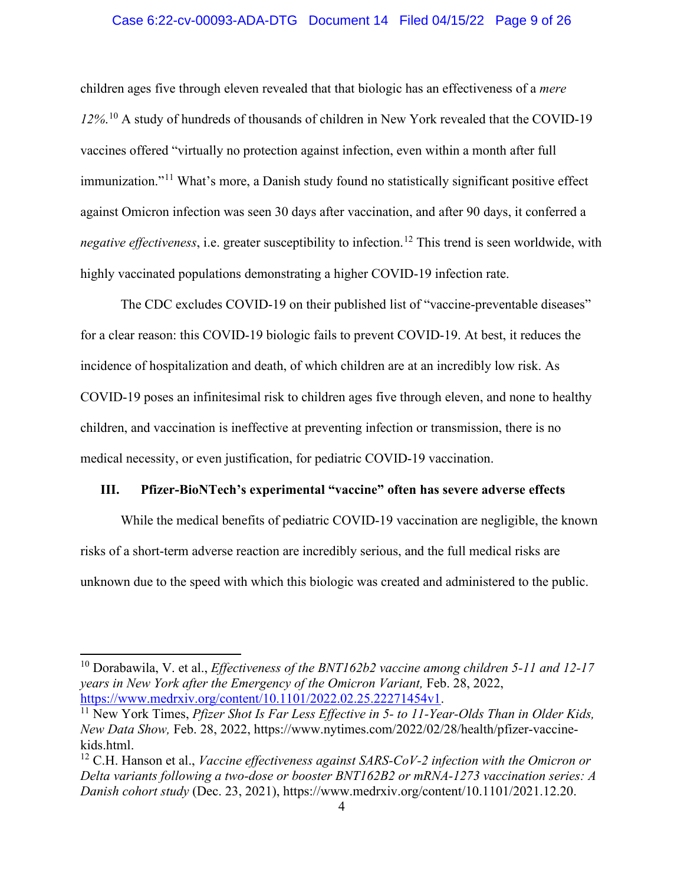### Case 6:22-cv-00093-ADA-DTG Document 14 Filed 04/15/22 Page 9 of 26

children ages five through eleven revealed that that biologic has an effectiveness of a *mere 12%*. [10](#page-8-0) A study of hundreds of thousands of children in New York revealed that the COVID-19 vaccines offered "virtually no protection against infection, even within a month after full immunization."<sup>[11](#page-8-1)</sup> What's more, a Danish study found no statistically significant positive effect against Omicron infection was seen 30 days after vaccination, and after 90 days, it conferred a *negative effectiveness*, i.e. greater susceptibility to infection. [12](#page-8-2) This trend is seen worldwide, with highly vaccinated populations demonstrating a higher COVID-19 infection rate.

The CDC excludes COVID-19 on their published list of "vaccine-preventable diseases" for a clear reason: this COVID-19 biologic fails to prevent COVID-19. At best, it reduces the incidence of hospitalization and death, of which children are at an incredibly low risk. As COVID-19 poses an infinitesimal risk to children ages five through eleven, and none to healthy children, and vaccination is ineffective at preventing infection or transmission, there is no medical necessity, or even justification, for pediatric COVID-19 vaccination.

### **III. Pfizer-BioNTech's experimental "vaccine" often has severe adverse effects**

While the medical benefits of pediatric COVID-19 vaccination are negligible, the known risks of a short-term adverse reaction are incredibly serious, and the full medical risks are unknown due to the speed with which this biologic was created and administered to the public.

<span id="page-8-0"></span><sup>10</sup> Dorabawila, V. et al., *Effectiveness of the BNT162b2 vaccine among children 5-11 and 12-17 years in New York after the Emergency of the Omicron Variant,* Feb. 28, 2022, [https://www.medrxiv.org/content/10.1101/2022.02.25.22271454v1.](https://www.medrxiv.org/content/10.1101/2022.02.25.22271454v1) 11 New York Times, *Pfizer Shot Is Far Less Effective in 5- to 11-Year-Olds Than in Older Kids,* 

<span id="page-8-1"></span>*New Data Show,* Feb. 28, 2022, https://www.nytimes.com/2022/02/28/health/pfizer-vaccinekids.html.

<span id="page-8-2"></span><sup>&</sup>lt;sup>12</sup> C.H. Hanson et al., *Vaccine effectiveness against SARS-CoV-2 infection with the Omicron or Delta variants following a two-dose or booster BNT162B2 or mRNA-1273 vaccination series: A Danish cohort study* (Dec. 23, 2021), https://www.medrxiv.org/content/10.1101/2021.12.20.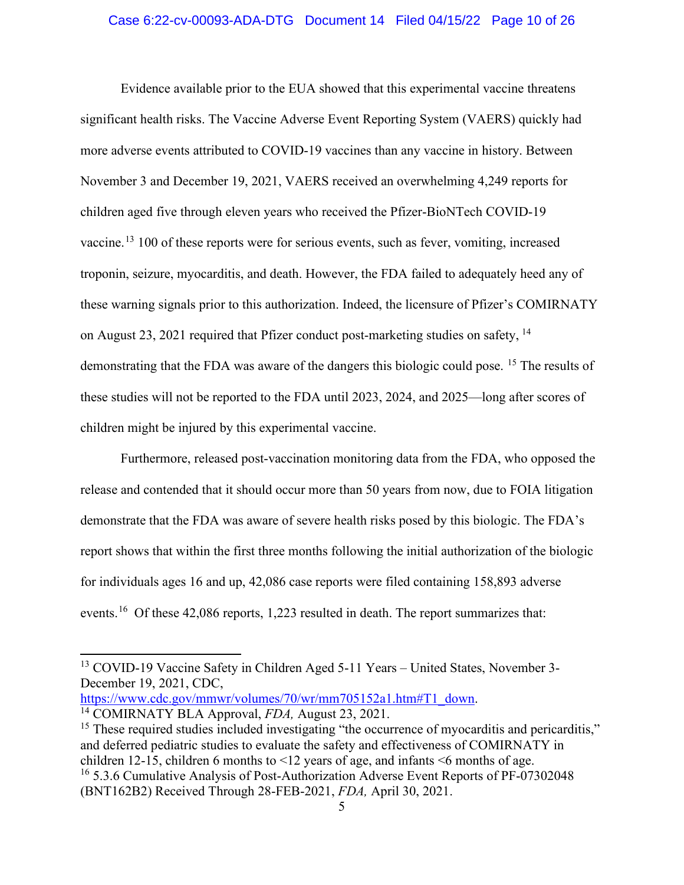### Case 6:22-cv-00093-ADA-DTG Document 14 Filed 04/15/22 Page 10 of 26

Evidence available prior to the EUA showed that this experimental vaccine threatens significant health risks. The Vaccine Adverse Event Reporting System (VAERS) quickly had more adverse events attributed to COVID-19 vaccines than any vaccine in history. Between November 3 and December 19, 2021, VAERS received an overwhelming 4,249 reports for children aged five through eleven years who received the Pfizer-BioNTech COVID-19 vaccine.<sup>[13](#page-9-0)</sup> 100 of these reports were for serious events, such as fever, vomiting, increased troponin, seizure, myocarditis, and death. However, the FDA failed to adequately heed any of these warning signals prior to this authorization. Indeed, the licensure of Pfizer's COMIRNATY on August 23, 2021 required that Pfizer conduct post-marketing studies on safety, [14](#page-9-1) demonstrating that the FDA was aware of the dangers this biologic could pose. <sup>[15](#page-9-2)</sup> The results of these studies will not be reported to the FDA until 2023, 2024, and 2025—long after scores of children might be injured by this experimental vaccine.

Furthermore, released post-vaccination monitoring data from the FDA, who opposed the release and contended that it should occur more than 50 years from now, due to FOIA litigation demonstrate that the FDA was aware of severe health risks posed by this biologic. The FDA's report shows that within the first three months following the initial authorization of the biologic for individuals ages 16 and up, 42,086 case reports were filed containing 158,893 adverse events.<sup>[16](#page-9-3)</sup> Of these 42,086 reports, 1,223 resulted in death. The report summarizes that:

<span id="page-9-1"></span>[https://www.cdc.gov/mmwr/volumes/70/wr/mm705152a1.htm#T1\\_down.](https://www.cdc.gov/mmwr/volumes/70/wr/mm705152a1.htm#T1_down) 14 COMIRNATY BLA Approval, *FDA,* August 23, 2021.

<span id="page-9-3"></span><span id="page-9-2"></span><sup>15</sup> These required studies included investigating "the occurrence of myocarditis and pericarditis," and deferred pediatric studies to evaluate the safety and effectiveness of COMIRNATY in children 12-15, children 6 months to <12 years of age, and infants <6 months of age. <sup>16</sup> 5.3.6 Cumulative Analysis of Post-Authorization Adverse Event Reports of PF-07302048 (BNT162B2) Received Through 28-FEB-2021, *FDA,* April 30, 2021.

<span id="page-9-0"></span><sup>13</sup> COVID-19 Vaccine Safety in Children Aged 5-11 Years – United States, November 3- December 19, 2021, CDC,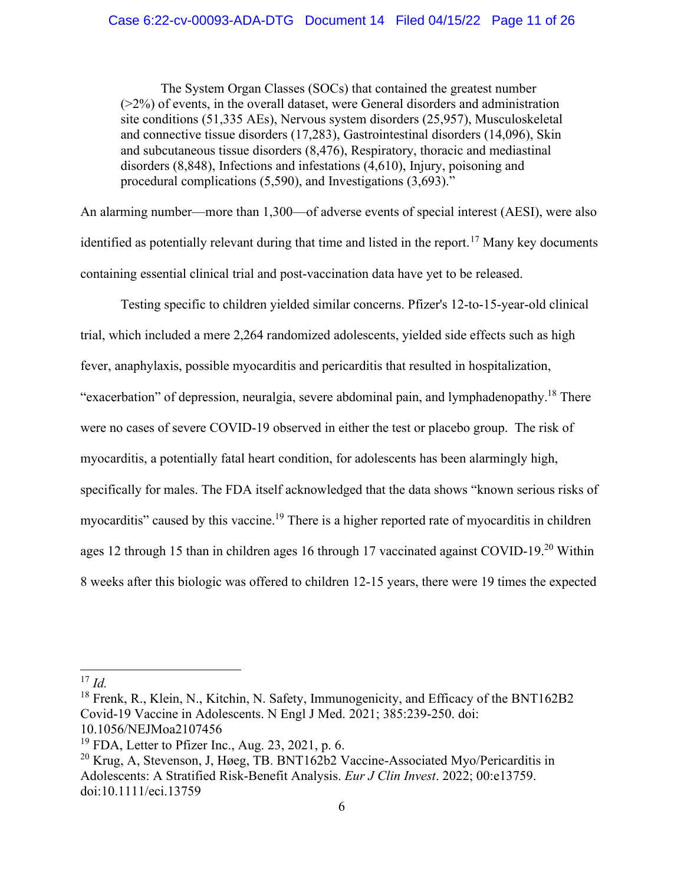The System Organ Classes (SOCs) that contained the greatest number (>2%) of events, in the overall dataset, were General disorders and administration site conditions (51,335 AEs), Nervous system disorders (25,957), Musculoskeletal and connective tissue disorders (17,283), Gastrointestinal disorders (14,096), Skin and subcutaneous tissue disorders (8,476), Respiratory, thoracic and mediastinal disorders (8,848), Infections and infestations (4,610), Injury, poisoning and procedural complications (5,590), and Investigations (3,693)."

An alarming number—more than 1,300—of adverse events of special interest (AESI), were also identified as potentially relevant during that time and listed in the report.<sup>[17](#page-10-0)</sup> Many key documents containing essential clinical trial and post-vaccination data have yet to be released.

Testing specific to children yielded similar concerns. Pfizer's 12-to-15-year-old clinical trial, which included a mere 2,264 randomized adolescents, yielded side effects such as high fever, anaphylaxis, possible myocarditis and pericarditis that resulted in hospitalization, "exacerbation" of depression, neuralgia, severe abdominal pain, and lymphadenopathy.<sup>[18](#page-10-1)</sup> There were no cases of severe COVID-19 observed in either the test or placebo group. The risk of myocarditis, a potentially fatal heart condition, for adolescents has been alarmingly high, specifically for males. The FDA itself acknowledged that the data shows "known serious risks of myocarditis" caused by this vaccine.<sup>[19](#page-10-2)</sup> There is a higher reported rate of myocarditis in children ages 12 through 15 than in children ages 16 through 17 vaccinated against COVID-19.[20](#page-10-3) Within 8 weeks after this biologic was offered to children 12-15 years, there were 19 times the expected

<span id="page-10-0"></span> $^{17}$  *Id.* 

<span id="page-10-1"></span><sup>&</sup>lt;sup>18</sup> Frenk, R., Klein, N., Kitchin, N. Safety, Immunogenicity, and Efficacy of the BNT162B2 Covid-19 Vaccine in Adolescents. N Engl J Med. 2021; 385:239-250. doi: 10.1056/NEJMoa2107456

<span id="page-10-2"></span> $19$  FDA, Letter to Pfizer Inc., Aug. 23, 2021, p. 6.

<span id="page-10-3"></span><sup>&</sup>lt;sup>20</sup> Krug, A, Stevenson, J, Høeg, TB. BNT162b2 Vaccine-Associated Myo/Pericarditis in Adolescents: A Stratified Risk-Benefit Analysis. *Eur J Clin Invest*. 2022; 00:e13759. doi[:10.1111/eci.13759](https://doi.org/10.1111/eci.13759)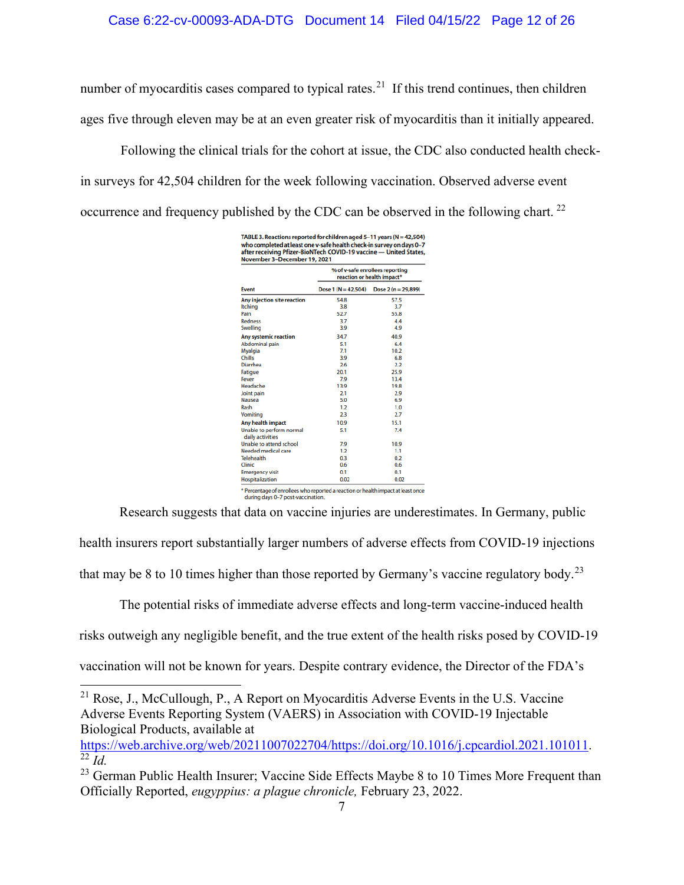number of myocarditis cases compared to typical rates.<sup>[21](#page-11-0)</sup> If this trend continues, then children ages five through eleven may be at an even greater risk of myocarditis than it initially appeared.

Following the clinical trials for the cohort at issue, the CDC also conducted health checkin surveys for 42,504 children for the week following vaccination. Observed adverse event occurrence and frequency published by the CDC can be observed in the following chart.<sup>[22](#page-11-1)</sup>

| <b>Event</b>                                 | % of v-safe enrollees reporting<br>reaction or health impact* |                     |
|----------------------------------------------|---------------------------------------------------------------|---------------------|
|                                              | Dose $1(N = 42.504)$                                          | Dose 2 (n = 29,899) |
| Any injection site reaction                  | 54.8                                                          | 57.5                |
| <b>Itching</b>                               | 3.8                                                           | 3.7                 |
| Pain                                         | 52.7                                                          | 55.8                |
| <b>Redness</b>                               | 3.7                                                           | 4.4                 |
| Swelling                                     | 3.9                                                           | 4.9                 |
| <b>Any systemic reaction</b>                 | 34.7                                                          | 40.9                |
| <b>Abdominal pain</b>                        | 5.1                                                           | 6.4                 |
| Myalgia                                      | 7.1                                                           | 10.2                |
| Chills                                       | 3.9                                                           | 6.8                 |
| <b>Diarrhea</b>                              | 2.6                                                           | 2.2                 |
| <b>Fatigue</b>                               | 20.1                                                          | 25.9                |
| Fever                                        | 7.9                                                           | 13.4                |
| Headache                                     | 13.9                                                          | 19.8                |
| Joint pain                                   | 2.1                                                           | 2.9                 |
| <b>Nausea</b>                                | 5.0                                                           | 6.9                 |
| Rash                                         | 1.2                                                           | 1.0                 |
| Vomiting                                     | 2.3                                                           | 2.7                 |
| Any health impact                            | 10.9                                                          | 15.1                |
| Unable to perform normal<br>daily activities | 5.1                                                           | 7.4                 |
| Unable to attend school                      | 7.9                                                           | 10.9                |
| Needed medical care                          | 1.2                                                           | 1.1                 |
| <b>Telehealth</b>                            | 0.3                                                           | 0.2                 |
| Clinic                                       | 0.6                                                           | 0.6                 |
| <b>Emergency visit</b>                       | 0.1                                                           | 0.1                 |
| Hospitalization                              | 0.02                                                          | 0.02                |

Research suggests that data on vaccine injuries are underestimates. In Germany, public

health insurers report substantially larger numbers of adverse effects from COVID-19 injections

that may be 8 to 10 times higher than those reported by Germany's vaccine regulatory body.<sup>23</sup>

The potential risks of immediate adverse effects and long-term vaccine-induced health

risks outweigh any negligible benefit, and the true extent of the health risks posed by COVID-19

vaccination will not be known for years. Despite contrary evidence, the Director of the FDA's

<span id="page-11-1"></span>[https://web.archive.org/web/20211007022704/https://doi.org/10.1016/j.cpcardiol.2021.101011.](https://web.archive.org/web/20211007022704/https:/doi.org/10.1016/j.cpcardiol.2021.101011) 22 *Id.* 

<span id="page-11-0"></span><sup>&</sup>lt;sup>21</sup> Rose, J., McCullough, P., A Report on Myocarditis Adverse Events in the U.S. Vaccine Adverse Events Reporting System (VAERS) in Association with COVID-19 Injectable Biological Products, available at

<span id="page-11-2"></span><sup>&</sup>lt;sup>23</sup> German Public Health Insurer; Vaccine Side Effects Maybe 8 to 10 Times More Frequent than Officially Reported, *eugyppius: a plague chronicle,* February 23, 2022.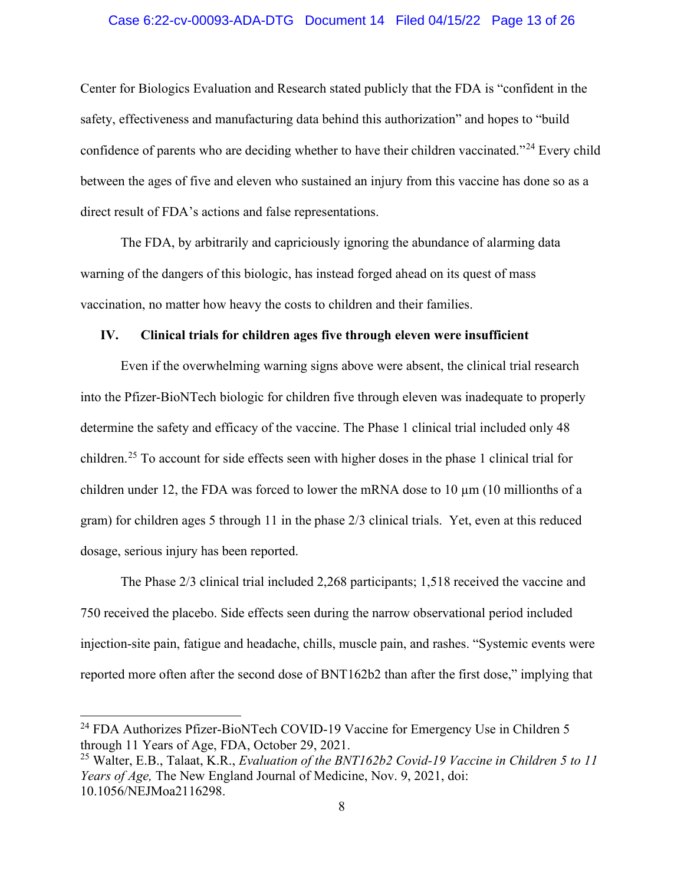### Case 6:22-cv-00093-ADA-DTG Document 14 Filed 04/15/22 Page 13 of 26

Center for Biologics Evaluation and Research stated publicly that the FDA is "confident in the safety, effectiveness and manufacturing data behind this authorization" and hopes to "build confidence of parents who are deciding whether to have their children vaccinated."<sup>[24](#page-12-0)</sup> Every child between the ages of five and eleven who sustained an injury from this vaccine has done so as a direct result of FDA's actions and false representations.

The FDA, by arbitrarily and capriciously ignoring the abundance of alarming data warning of the dangers of this biologic, has instead forged ahead on its quest of mass vaccination, no matter how heavy the costs to children and their families.

### **IV. Clinical trials for children ages five through eleven were insufficient**

Even if the overwhelming warning signs above were absent, the clinical trial research into the Pfizer-BioNTech biologic for children five through eleven was inadequate to properly determine the safety and efficacy of the vaccine. The Phase 1 clinical trial included only 48 children.[25](#page-12-1) To account for side effects seen with higher doses in the phase 1 clinical trial for children under 12, the FDA was forced to lower the mRNA dose to 10  $\mu$ m (10 millionths of a gram) for children ages 5 through 11 in the phase 2/3 clinical trials. Yet, even at this reduced dosage, serious injury has been reported.

The Phase 2/3 clinical trial included 2,268 participants; 1,518 received the vaccine and 750 received the placebo. Side effects seen during the narrow observational period included injection-site pain, fatigue and headache, chills, muscle pain, and rashes. "Systemic events were reported more often after the second dose of BNT162b2 than after the first dose," implying that

<span id="page-12-0"></span><sup>&</sup>lt;sup>24</sup> FDA Authorizes Pfizer-BioNTech COVID-19 Vaccine for Emergency Use in Children 5 through 11 Years of Age, FDA, October 29, 2021.

<span id="page-12-1"></span><sup>25</sup> Walter, E.B., Talaat, K.R., *Evaluation of the BNT162b2 Covid-19 Vaccine in Children 5 to 11 Years of Age,* The New England Journal of Medicine, Nov. 9, 2021, doi: 10.1056/NEJMoa2116298.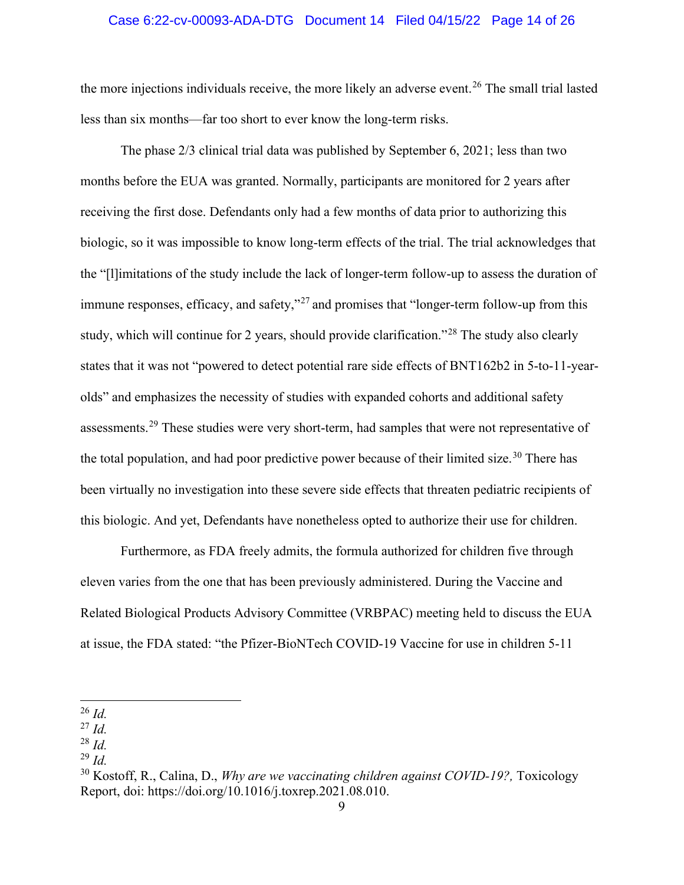### Case 6:22-cv-00093-ADA-DTG Document 14 Filed 04/15/22 Page 14 of 26

the more injections individuals receive, the more likely an adverse event.<sup>[26](#page-13-0)</sup> The small trial lasted less than six months—far too short to ever know the long-term risks.

The phase 2/3 clinical trial data was published by September 6, 2021; less than two months before the EUA was granted. Normally, participants are monitored for 2 years after receiving the first dose. Defendants only had a few months of data prior to authorizing this biologic, so it was impossible to know long-term effects of the trial. The trial acknowledges that the "[l]imitations of the study include the lack of longer-term follow-up to assess the duration of immune responses, efficacy, and safety,"<sup>[27](#page-13-1)</sup> and promises that "longer-term follow-up from this study, which will continue for 2 years, should provide clarification."<sup>[28](#page-13-2)</sup> The study also clearly states that it was not "powered to detect potential rare side effects of BNT162b2 in 5-to-11-yearolds" and emphasizes the necessity of studies with expanded cohorts and additional safety assessments.<sup>[29](#page-13-3)</sup> These studies were very short-term, had samples that were not representative of the total population, and had poor predictive power because of their limited size.<sup>[30](#page-13-4)</sup> There has been virtually no investigation into these severe side effects that threaten pediatric recipients of this biologic. And yet, Defendants have nonetheless opted to authorize their use for children.

Furthermore, as FDA freely admits, the formula authorized for children five through eleven varies from the one that has been previously administered. During the Vaccine and Related Biological Products Advisory Committee (VRBPAC) meeting held to discuss the EUA at issue, the FDA stated: "the Pfizer-BioNTech COVID-19 Vaccine for use in children 5-11

<span id="page-13-0"></span><sup>26</sup> *Id.*

<span id="page-13-1"></span><sup>27</sup> *Id.*

<span id="page-13-2"></span><sup>28</sup> *Id.*

<span id="page-13-3"></span><sup>29</sup> *Id.*

<span id="page-13-4"></span><sup>&</sup>lt;sup>30</sup> Kostoff, R., Calina, D., *Why are we vaccinating children against COVID-19?*, Toxicology Report, doi: https://doi.org/10.1016/j.toxrep.2021.08.010.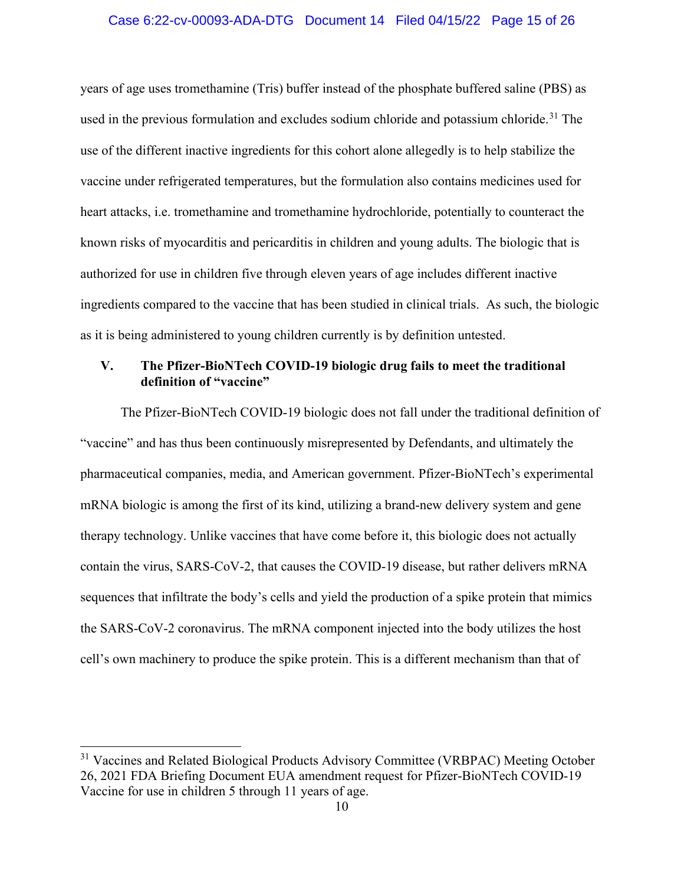### Case 6:22-cv-00093-ADA-DTG Document 14 Filed 04/15/22 Page 15 of 26

years of age uses tromethamine (Tris) buffer instead of the phosphate buffered saline (PBS) as used in the previous formulation and excludes sodium chloride and potassium chloride.<sup>[31](#page-14-0)</sup> The use of the different inactive ingredients for this cohort alone allegedly is to help stabilize the vaccine under refrigerated temperatures, but the formulation also contains medicines used for heart attacks, i.e. tromethamine and tromethamine hydrochloride, potentially to counteract the known risks of myocarditis and pericarditis in children and young adults. The biologic that is authorized for use in children five through eleven years of age includes different inactive ingredients compared to the vaccine that has been studied in clinical trials. As such, the biologic as it is being administered to young children currently is by definition untested.

# **V. The Pfizer-BioNTech COVID-19 biologic drug fails to meet the traditional definition of "vaccine"**

The Pfizer-BioNTech COVID-19 biologic does not fall under the traditional definition of "vaccine" and has thus been continuously misrepresented by Defendants, and ultimately the pharmaceutical companies, media, and American government. Pfizer-BioNTech's experimental mRNA biologic is among the first of its kind, utilizing a brand-new delivery system and gene therapy technology. Unlike vaccines that have come before it, this biologic does not actually contain the virus, SARS-CoV-2, that causes the COVID-19 disease, but rather delivers mRNA sequences that infiltrate the body's cells and yield the production of a spike protein that mimics the SARS-CoV-2 coronavirus. The mRNA component injected into the body utilizes the host cell's own machinery to produce the spike protein. This is a different mechanism than that of

<span id="page-14-0"></span><sup>&</sup>lt;sup>31</sup> Vaccines and Related Biological Products Advisory Committee (VRBPAC) Meeting October 26, 2021 FDA Briefing Document EUA amendment request for Pfizer-BioNTech COVID-19 Vaccine for use in children 5 through 11 years of age.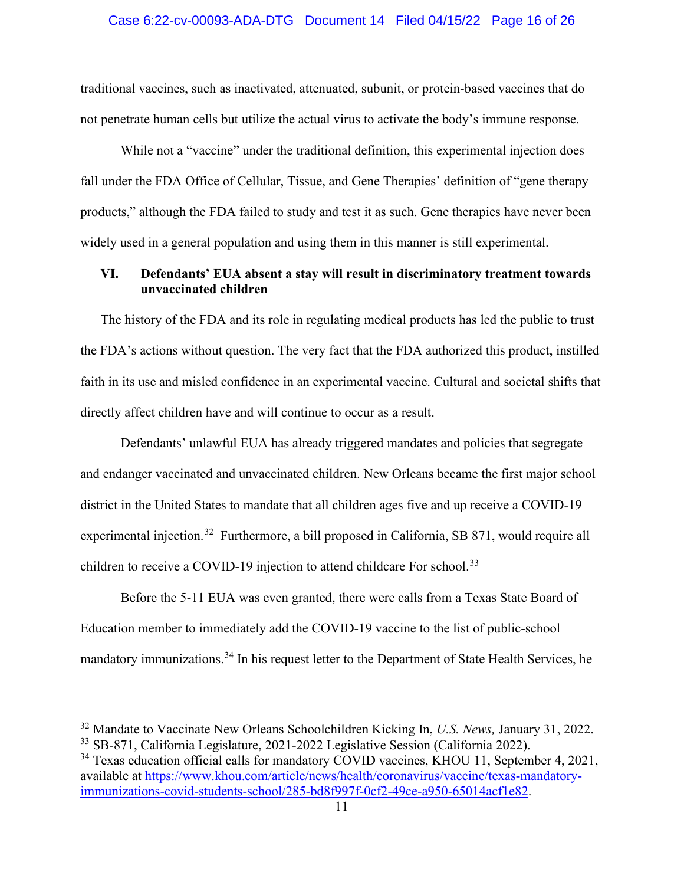traditional vaccines, such as inactivated, attenuated, subunit, or protein-based vaccines that do not penetrate human cells but utilize the actual virus to activate the body's immune response.

While not a "vaccine" under the traditional definition, this experimental injection does fall under the FDA Office of Cellular, Tissue, and Gene Therapies' definition of "gene therapy products," although the FDA failed to study and test it as such. Gene therapies have never been widely used in a general population and using them in this manner is still experimental.

# **VI. Defendants' EUA absent a stay will result in discriminatory treatment towards unvaccinated children**

The history of the FDA and its role in regulating medical products has led the public to trust the FDA's actions without question. The very fact that the FDA authorized this product, instilled faith in its use and misled confidence in an experimental vaccine. Cultural and societal shifts that directly affect children have and will continue to occur as a result.

Defendants' unlawful EUA has already triggered mandates and policies that segregate and endanger vaccinated and unvaccinated children. New Orleans became the first major school district in the United States to mandate that all children ages five and up receive a COVID-19 experimental injection.<sup>[32](#page-15-0)</sup> Furthermore, a bill proposed in California, SB 871, would require all children to receive a COVID-19 injection to attend childcare For school.<sup>33</sup>

Before the 5-11 EUA was even granted, there were calls from a Texas State Board of Education member to immediately add the COVID-19 vaccine to the list of public-school mandatory immunizations.[34](#page-15-2) In his request letter to the Department of State Health Services, he

<span id="page-15-0"></span><sup>32</sup> Mandate to Vaccinate New Orleans Schoolchildren Kicking In, *U.S. News,* January 31, 2022. <sup>33</sup> SB-871, California Legislature, 2021-2022 Legislative Session (California 2022).

<span id="page-15-2"></span><span id="page-15-1"></span><sup>&</sup>lt;sup>34</sup> Texas education official calls for mandatory COVID vaccines, KHOU 11, September 4, 2021, available at [https://www.khou.com/article/news/health/coronavirus/vaccine/texas-mandatory](https://www.khou.com/article/news/health/coronavirus/vaccine/texas-mandatory-immunizations-covid-students-school/285-bd8f997f-0cf2-49ce-a950-65014acf1e82)[immunizations-covid-students-school/285-bd8f997f-0cf2-49ce-a950-65014acf1e82.](https://www.khou.com/article/news/health/coronavirus/vaccine/texas-mandatory-immunizations-covid-students-school/285-bd8f997f-0cf2-49ce-a950-65014acf1e82)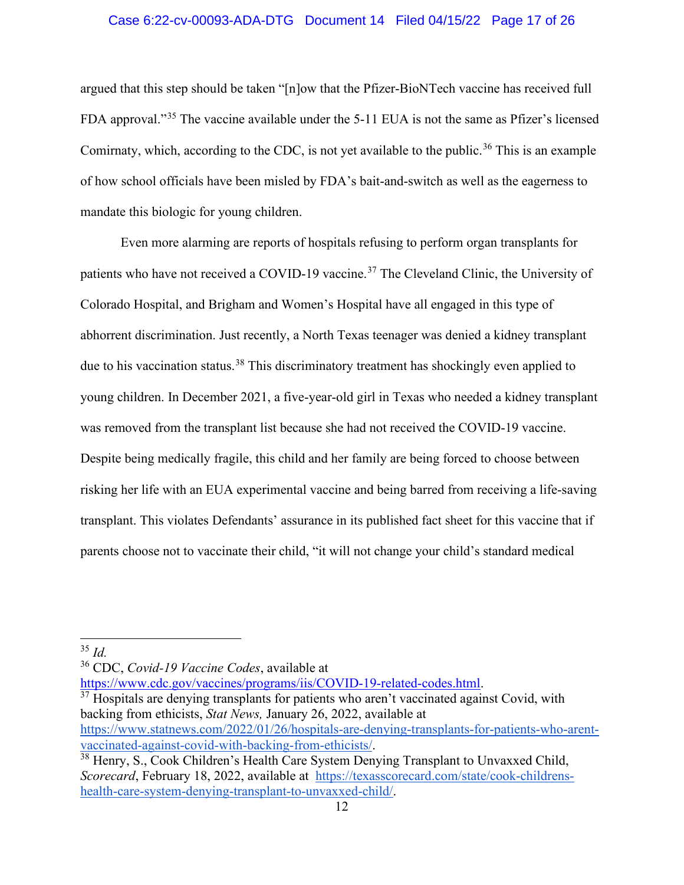### Case 6:22-cv-00093-ADA-DTG Document 14 Filed 04/15/22 Page 17 of 26

argued that this step should be taken "[n]ow that the Pfizer-BioNTech vaccine has received full FDA approval."[35](#page-16-0) The vaccine available under the 5-11 EUA is not the same as Pfizer's licensed Comirnaty, which, according to the CDC, is not yet available to the public.<sup>[36](#page-16-1)</sup> This is an example of how school officials have been misled by FDA's bait-and-switch as well as the eagerness to mandate this biologic for young children.

Even more alarming are reports of hospitals refusing to perform organ transplants for patients who have not received a COVID-19 vaccine.<sup>[37](#page-16-2)</sup> The Cleveland Clinic, the University of Colorado Hospital, and Brigham and Women's Hospital have all engaged in this type of abhorrent discrimination. Just recently, a North Texas teenager was denied a kidney transplant due to his vaccination status.<sup>[38](#page-16-3)</sup> This discriminatory treatment has shockingly even applied to young children. In December 2021, a five-year-old girl in Texas who needed a kidney transplant was removed from the transplant list because she had not received the COVID-19 vaccine. Despite being medically fragile, this child and her family are being forced to choose between risking her life with an EUA experimental vaccine and being barred from receiving a life-saving transplant. This violates Defendants' assurance in its published fact sheet for this vaccine that if parents choose not to vaccinate their child, "it will not change your child's standard medical

<span id="page-16-0"></span><sup>35</sup> *Id.*

<span id="page-16-1"></span><sup>36</sup> CDC, *Covid-19 Vaccine Codes*, available at

<span id="page-16-2"></span>[https://www.cdc.gov/vaccines/programs/iis/COVID-19-related-codes.html.](https://www.cdc.gov/vaccines/programs/iis/COVID-19-related-codes.html)<br><sup>37</sup> Hospitals are denying transplants for patients who aren't vaccinated against Covid, with backing from ethicists, *Stat News,* January 26, 2022, available at

[https://www.statnews.com/2022/01/26/hospitals-are-denying-transplants-for-patients-who-arent](https://www.statnews.com/2022/01/26/hospitals-are-denying-transplants-for-patients-who-arent-vaccinated-against-covid-with-backing-from-ethicists/)[vaccinated-against-covid-with-backing-from-ethicists/.](https://www.statnews.com/2022/01/26/hospitals-are-denying-transplants-for-patients-who-arent-vaccinated-against-covid-with-backing-from-ethicists/)<br><sup>38</sup> Henry, S., Cook Children's Health Care System Denying Transplant to Unvaxxed Child,

<span id="page-16-3"></span>*Scorecard*, February 18, 2022, available at [https://texasscorecard.com/state/cook-childrens](https://texasscorecard.com/state/cook-childrens-health-care-system-denying-transplant-to-unvaxxed-child/)[health-care-system-denying-transplant-to-unvaxxed-child/.](https://texasscorecard.com/state/cook-childrens-health-care-system-denying-transplant-to-unvaxxed-child/)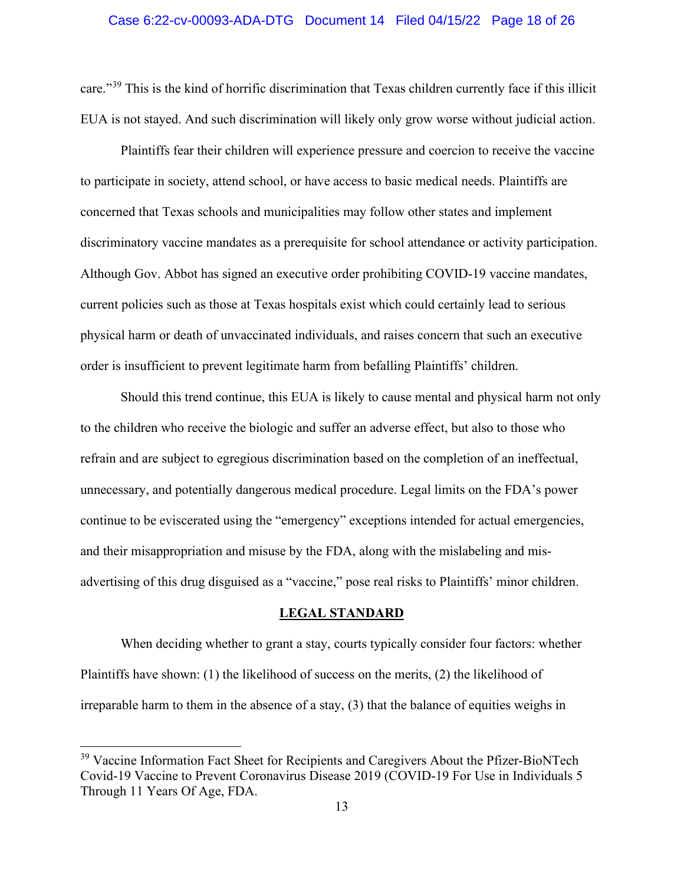### Case 6:22-cv-00093-ADA-DTG Document 14 Filed 04/15/22 Page 18 of 26

care."[39](#page-17-0) This is the kind of horrific discrimination that Texas children currently face if this illicit EUA is not stayed. And such discrimination will likely only grow worse without judicial action.

Plaintiffs fear their children will experience pressure and coercion to receive the vaccine to participate in society, attend school, or have access to basic medical needs. Plaintiffs are concerned that Texas schools and municipalities may follow other states and implement discriminatory vaccine mandates as a prerequisite for school attendance or activity participation. Although Gov. Abbot has signed an executive order prohibiting COVID-19 vaccine mandates, current policies such as those at Texas hospitals exist which could certainly lead to serious physical harm or death of unvaccinated individuals, and raises concern that such an executive order is insufficient to prevent legitimate harm from befalling Plaintiffs' children.

Should this trend continue, this EUA is likely to cause mental and physical harm not only to the children who receive the biologic and suffer an adverse effect, but also to those who refrain and are subject to egregious discrimination based on the completion of an ineffectual, unnecessary, and potentially dangerous medical procedure. Legal limits on the FDA's power continue to be eviscerated using the "emergency" exceptions intended for actual emergencies, and their misappropriation and misuse by the FDA, along with the mislabeling and misadvertising of this drug disguised as a "vaccine," pose real risks to Plaintiffs' minor children.

#### **LEGAL STANDARD**

When deciding whether to grant a stay, courts typically consider four factors: whether Plaintiffs have shown: (1) the likelihood of success on the merits, (2) the likelihood of irreparable harm to them in the absence of a stay, (3) that the balance of equities weighs in

<span id="page-17-0"></span><sup>&</sup>lt;sup>39</sup> Vaccine Information Fact Sheet for Recipients and Caregivers About the Pfizer-BioNTech Covid-19 Vaccine to Prevent Coronavirus Disease 2019 (COVID-19 For Use in Individuals 5 Through 11 Years Of Age, FDA.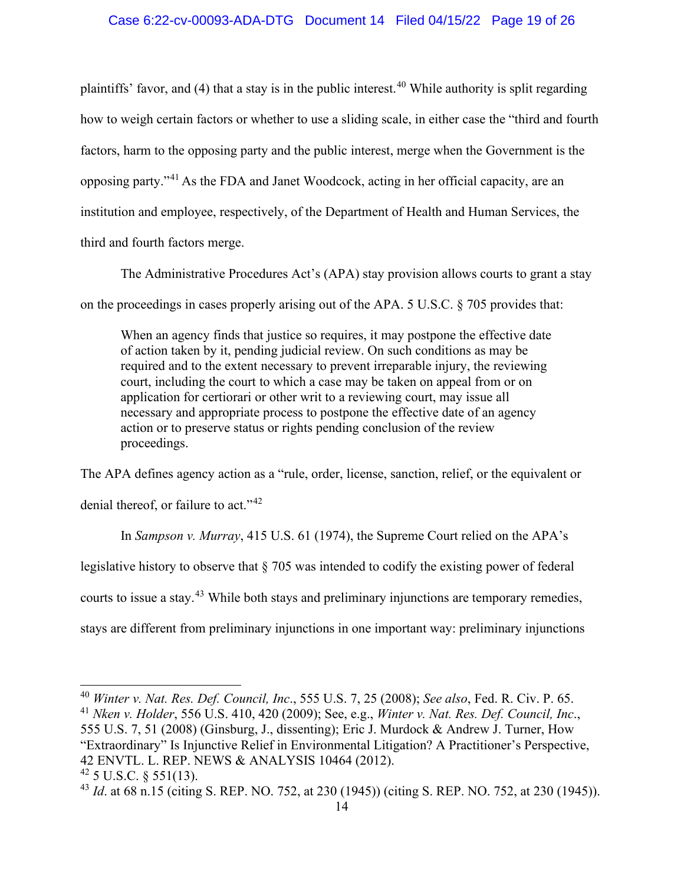# Case 6:22-cv-00093-ADA-DTG Document 14 Filed 04/15/22 Page 19 of 26

plaintiffs' favor, and (4) that a stay is in the public interest. [40](#page-18-0) While authority is split regarding how to weigh certain factors or whether to use a sliding scale, in either case the "third and fourth factors, harm to the opposing party and the public interest, merge when the Government is the opposing party."[41](#page-18-1) As the FDA and Janet Woodcock, acting in her official capacity, are an institution and employee, respectively, of the Department of Health and Human Services, the third and fourth factors merge.

The Administrative Procedures Act's (APA) stay provision allows courts to grant a stay on the proceedings in cases properly arising out of the APA. 5 U.S.C. § 705 provides that:

When an agency finds that justice so requires, it may postpone the effective date of action taken by it, pending judicial review. On such conditions as may be required and to the extent necessary to prevent irreparable injury, the reviewing court, including the court to which a case may be taken on appeal from or on application for certiorari or other writ to a reviewing court, may issue all necessary and appropriate process to postpone the effective date of an agency action or to preserve status or rights pending conclusion of the review proceedings.

The APA defines agency action as a "rule, order, license, sanction, relief, or the equivalent or denial thereof, or failure to act."<sup>[42](#page-18-2)</sup>

In *Sampson v. Murray*, 415 U.S. 61 (1974), the Supreme Court relied on the APA's

legislative history to observe that § 705 was intended to codify the existing power of federal

courts to issue a stay.<sup>[43](#page-18-3)</sup> While both stays and preliminary injunctions are temporary remedies,

stays are different from preliminary injunctions in one important way: preliminary injunctions

<span id="page-18-1"></span><span id="page-18-0"></span><sup>40</sup> *Winter v. Nat. Res. Def. Council, Inc*., 555 U.S. 7, 25 (2008); *See also*, Fed. R. Civ. P. 65. <sup>41</sup> *Nken v. Holder*, 556 U.S. 410, 420 (2009); See, e.g., *Winter v. Nat. Res. Def. Council, Inc*., 555 U.S. 7, 51 (2008) (Ginsburg, J., dissenting); Eric J. Murdock & Andrew J. Turner, How "Extraordinary" Is Injunctive Relief in Environmental Litigation? A Practitioner's Perspective, 42 ENVTL. L. REP. NEWS & ANALYSIS 10464 (2012).  $42$  5 U.S.C. § 551(13).

<span id="page-18-3"></span><span id="page-18-2"></span><sup>43</sup> *Id*. at 68 n.15 (citing S. REP. NO. 752, at 230 (1945)) (citing S. REP. NO. 752, at 230 (1945)).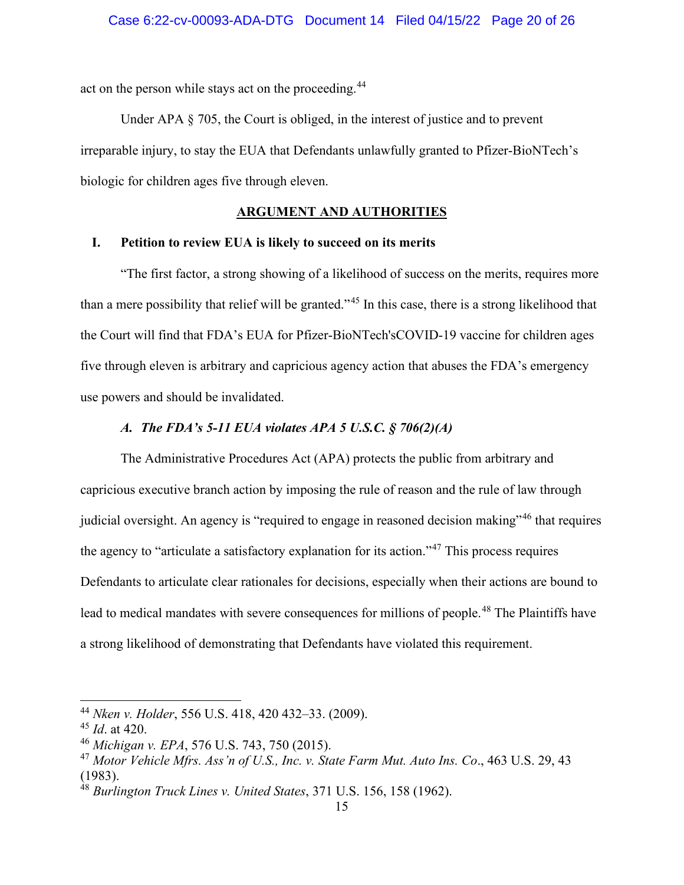act on the person while stays act on the proceeding.<sup>[44](#page-19-0)</sup>

Under APA § 705, the Court is obliged, in the interest of justice and to prevent irreparable injury, to stay the EUA that Defendants unlawfully granted to Pfizer-BioNTech's biologic for children ages five through eleven.

# **ARGUMENT AND AUTHORITIES**

# **I. Petition to review EUA is likely to succeed on its merits**

"The first factor, a strong showing of a likelihood of success on the merits, requires more than a mere possibility that relief will be granted."<sup>[45](#page-19-1)</sup> In this case, there is a strong likelihood that the Court will find that FDA's EUA for Pfizer-BioNTech'sCOVID-19 vaccine for children ages five through eleven is arbitrary and capricious agency action that abuses the FDA's emergency use powers and should be invalidated.

# *A. The FDA's 5-11 EUA violates APA 5 U.S.C. § 706(2)(A)*

The Administrative Procedures Act (APA) protects the public from arbitrary and capricious executive branch action by imposing the rule of reason and the rule of law through judicial oversight. An agency is "required to engage in reasoned decision making"<sup>[46](#page-19-2)</sup> that requires the agency to "articulate a satisfactory explanation for its action."[47](#page-19-3) This process requires Defendants to articulate clear rationales for decisions, especially when their actions are bound to lead to medical mandates with severe consequences for millions of people.<sup>[48](#page-19-4)</sup> The Plaintiffs have a strong likelihood of demonstrating that Defendants have violated this requirement.

<span id="page-19-0"></span><sup>44</sup> *Nken v. Holder*, 556 U.S. 418, 420 432–33. (2009).

<span id="page-19-1"></span><sup>45</sup> *Id*. at 420.

<span id="page-19-2"></span><sup>46</sup> *Michigan v. EPA*, 576 U.S. 743, 750 (2015).

<span id="page-19-3"></span><sup>47</sup> *Motor Vehicle Mfrs. Ass'n of U.S., Inc. v. State Farm Mut. Auto Ins. Co*., 463 U.S. 29, 43 (1983).

<span id="page-19-4"></span><sup>48</sup> *Burlington Truck Lines v. United States*, 371 U.S. 156, 158 (1962).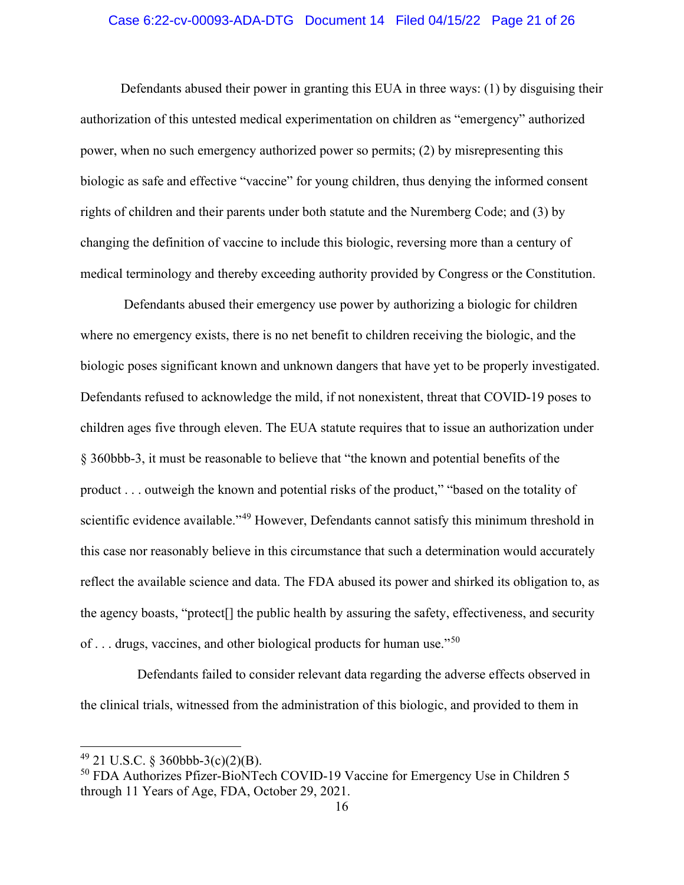### Case 6:22-cv-00093-ADA-DTG Document 14 Filed 04/15/22 Page 21 of 26

Defendants abused their power in granting this EUA in three ways: (1) by disguising their authorization of this untested medical experimentation on children as "emergency" authorized power, when no such emergency authorized power so permits; (2) by misrepresenting this biologic as safe and effective "vaccine" for young children, thus denying the informed consent rights of children and their parents under both statute and the Nuremberg Code; and (3) by changing the definition of vaccine to include this biologic, reversing more than a century of medical terminology and thereby exceeding authority provided by Congress or the Constitution.

 Defendants abused their emergency use power by authorizing a biologic for children where no emergency exists, there is no net benefit to children receiving the biologic, and the biologic poses significant known and unknown dangers that have yet to be properly investigated. Defendants refused to acknowledge the mild, if not nonexistent, threat that COVID-19 poses to children ages five through eleven. The EUA statute requires that to issue an authorization under § 360bbb-3, it must be reasonable to believe that "the known and potential benefits of the product . . . outweigh the known and potential risks of the product," "based on the totality of scientific evidence available."<sup>[49](#page-20-0)</sup> However, Defendants cannot satisfy this minimum threshold in this case nor reasonably believe in this circumstance that such a determination would accurately reflect the available science and data. The FDA abused its power and shirked its obligation to, as the agency boasts, "protect[] the public health by assuring the safety, effectiveness, and security of . . . drugs, vaccines, and other biological products for human use."[50](#page-20-1) 

 Defendants failed to consider relevant data regarding the adverse effects observed in the clinical trials, witnessed from the administration of this biologic, and provided to them in

<span id="page-20-0"></span> $49$  21 U.S.C. § 360bbb-3(c)(2)(B).

<span id="page-20-1"></span><sup>50</sup> FDA Authorizes Pfizer-BioNTech COVID-19 Vaccine for Emergency Use in Children 5 through 11 Years of Age, FDA, October 29, 2021.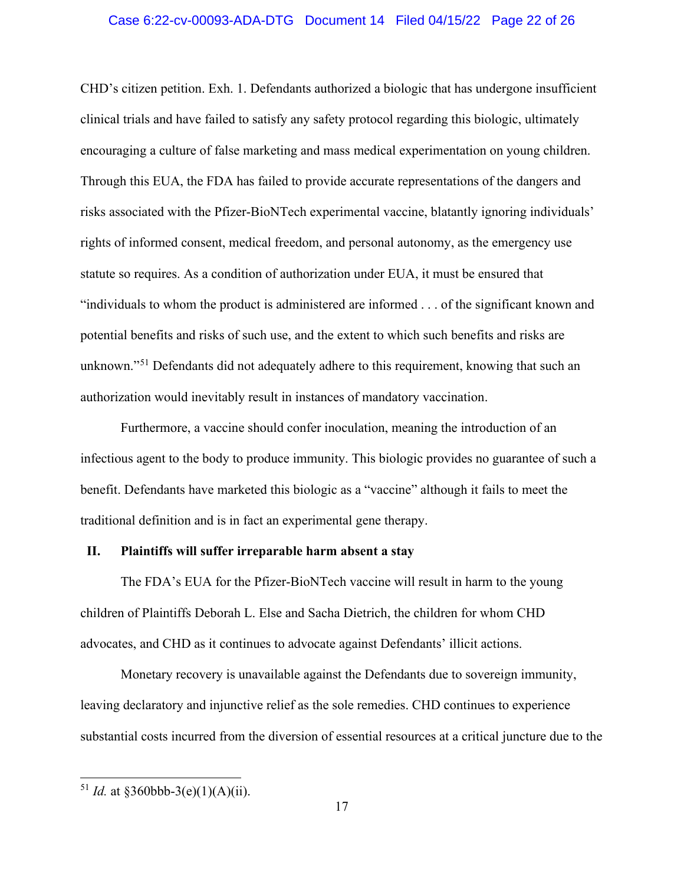### Case 6:22-cv-00093-ADA-DTG Document 14 Filed 04/15/22 Page 22 of 26

CHD's citizen petition. Exh. 1. Defendants authorized a biologic that has undergone insufficient clinical trials and have failed to satisfy any safety protocol regarding this biologic, ultimately encouraging a culture of false marketing and mass medical experimentation on young children. Through this EUA, the FDA has failed to provide accurate representations of the dangers and risks associated with the Pfizer-BioNTech experimental vaccine, blatantly ignoring individuals' rights of informed consent, medical freedom, and personal autonomy, as the emergency use statute so requires. As a condition of authorization under EUA, it must be ensured that "individuals to whom the product is administered are informed . . . of the significant known and potential benefits and risks of such use, and the extent to which such benefits and risks are unknown."<sup>[51](#page-21-0)</sup> Defendants did not adequately adhere to this requirement, knowing that such an authorization would inevitably result in instances of mandatory vaccination.

Furthermore, a vaccine should confer inoculation, meaning the introduction of an infectious agent to the body to produce immunity. This biologic provides no guarantee of such a benefit. Defendants have marketed this biologic as a "vaccine" although it fails to meet the traditional definition and is in fact an experimental gene therapy.

### **II. Plaintiffs will suffer irreparable harm absent a stay**

The FDA's EUA for the Pfizer-BioNTech vaccine will result in harm to the young children of Plaintiffs Deborah L. Else and Sacha Dietrich, the children for whom CHD advocates, and CHD as it continues to advocate against Defendants' illicit actions.

Monetary recovery is unavailable against the Defendants due to sovereign immunity, leaving declaratory and injunctive relief as the sole remedies. CHD continues to experience substantial costs incurred from the diversion of essential resources at a critical juncture due to the

<span id="page-21-0"></span><sup>&</sup>lt;sup>51</sup> *Id.* at  $\delta$ 360bbb-3(e)(1)(A)(ii).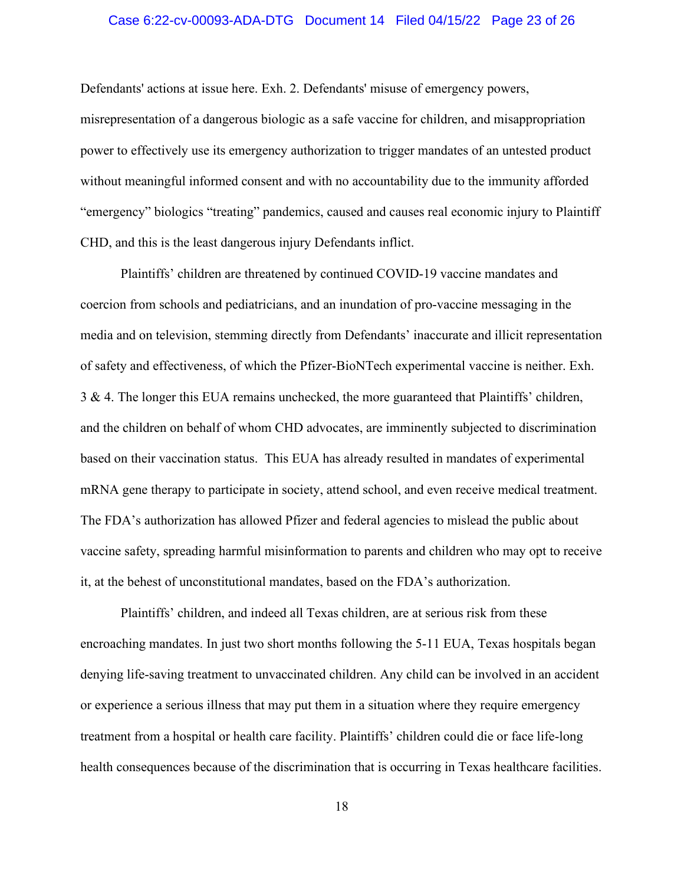### Case 6:22-cv-00093-ADA-DTG Document 14 Filed 04/15/22 Page 23 of 26

Defendants' actions at issue here. Exh. 2. Defendants' misuse of emergency powers, misrepresentation of a dangerous biologic as a safe vaccine for children, and misappropriation power to effectively use its emergency authorization to trigger mandates of an untested product without meaningful informed consent and with no accountability due to the immunity afforded "emergency" biologics "treating" pandemics, caused and causes real economic injury to Plaintiff CHD, and this is the least dangerous injury Defendants inflict.

Plaintiffs' children are threatened by continued COVID-19 vaccine mandates and coercion from schools and pediatricians, and an inundation of pro-vaccine messaging in the media and on television, stemming directly from Defendants' inaccurate and illicit representation of safety and effectiveness, of which the Pfizer-BioNTech experimental vaccine is neither. Exh. 3 & 4. The longer this EUA remains unchecked, the more guaranteed that Plaintiffs' children, and the children on behalf of whom CHD advocates, are imminently subjected to discrimination based on their vaccination status. This EUA has already resulted in mandates of experimental mRNA gene therapy to participate in society, attend school, and even receive medical treatment. The FDA's authorization has allowed Pfizer and federal agencies to mislead the public about vaccine safety, spreading harmful misinformation to parents and children who may opt to receive it, at the behest of unconstitutional mandates, based on the FDA's authorization.

Plaintiffs' children, and indeed all Texas children, are at serious risk from these encroaching mandates. In just two short months following the 5-11 EUA, Texas hospitals began denying life-saving treatment to unvaccinated children. Any child can be involved in an accident or experience a serious illness that may put them in a situation where they require emergency treatment from a hospital or health care facility. Plaintiffs' children could die or face life-long health consequences because of the discrimination that is occurring in Texas healthcare facilities.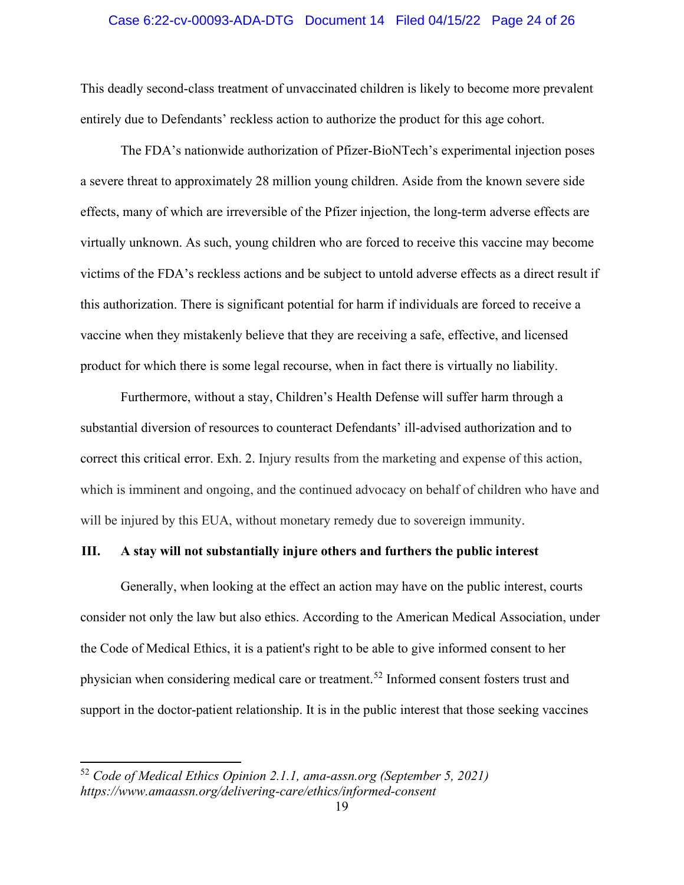#### Case 6:22-cv-00093-ADA-DTG Document 14 Filed 04/15/22 Page 24 of 26

This deadly second-class treatment of unvaccinated children is likely to become more prevalent entirely due to Defendants' reckless action to authorize the product for this age cohort.

The FDA's nationwide authorization of Pfizer-BioNTech's experimental injection poses a severe threat to approximately 28 million young children. Aside from the known severe side effects, many of which are irreversible of the Pfizer injection, the long-term adverse effects are virtually unknown. As such, young children who are forced to receive this vaccine may become victims of the FDA's reckless actions and be subject to untold adverse effects as a direct result if this authorization. There is significant potential for harm if individuals are forced to receive a vaccine when they mistakenly believe that they are receiving a safe, effective, and licensed product for which there is some legal recourse, when in fact there is virtually no liability.

Furthermore, without a stay, Children's Health Defense will suffer harm through a substantial diversion of resources to counteract Defendants' ill-advised authorization and to correct this critical error. Exh. 2. Injury results from the marketing and expense of this action, which is imminent and ongoing, and the continued advocacy on behalf of children who have and will be injured by this EUA, without monetary remedy due to sovereign immunity.

### **III. A stay will not substantially injure others and furthers the public interest**

Generally, when looking at the effect an action may have on the public interest, courts consider not only the law but also ethics. According to the American Medical Association, under the Code of Medical Ethics, it is a patient's right to be able to give informed consent to her physician when considering medical care or treatment.[52](#page-23-0) Informed consent fosters trust and support in the doctor-patient relationship. It is in the public interest that those seeking vaccines

<span id="page-23-0"></span><sup>52</sup> *Code of Medical Ethics Opinion 2.1.1, ama-assn.org (September 5, 2021) https://www.amaassn.org/delivering-care/ethics/informed-consent*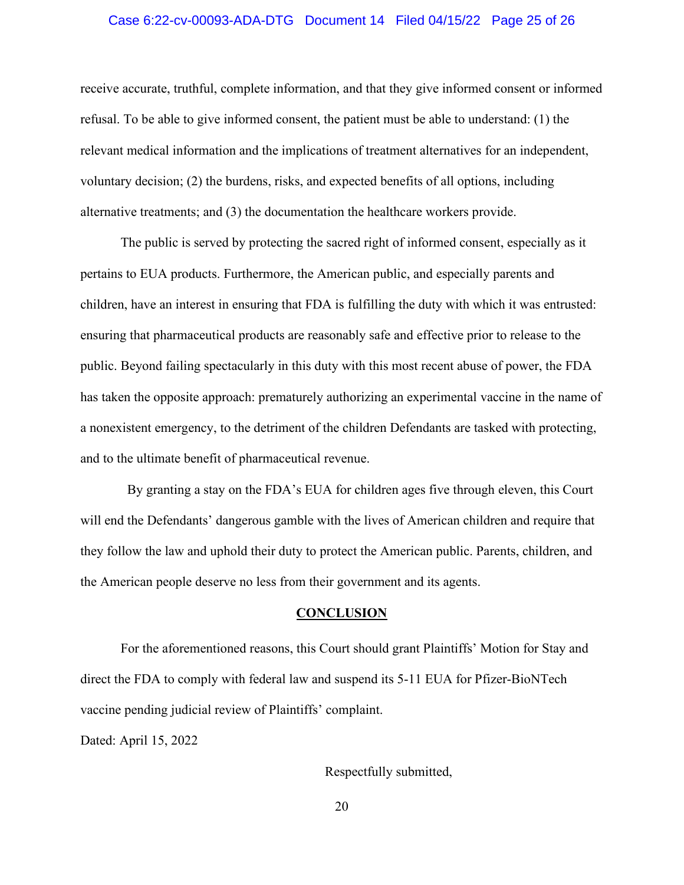### Case 6:22-cv-00093-ADA-DTG Document 14 Filed 04/15/22 Page 25 of 26

receive accurate, truthful, complete information, and that they give informed consent or informed refusal. To be able to give informed consent, the patient must be able to understand: (1) the relevant medical information and the implications of treatment alternatives for an independent, voluntary decision; (2) the burdens, risks, and expected benefits of all options, including alternative treatments; and (3) the documentation the healthcare workers provide.

The public is served by protecting the sacred right of informed consent, especially as it pertains to EUA products. Furthermore, the American public, and especially parents and children, have an interest in ensuring that FDA is fulfilling the duty with which it was entrusted: ensuring that pharmaceutical products are reasonably safe and effective prior to release to the public. Beyond failing spectacularly in this duty with this most recent abuse of power, the FDA has taken the opposite approach: prematurely authorizing an experimental vaccine in the name of a nonexistent emergency, to the detriment of the children Defendants are tasked with protecting, and to the ultimate benefit of pharmaceutical revenue.

 By granting a stay on the FDA's EUA for children ages five through eleven, this Court will end the Defendants' dangerous gamble with the lives of American children and require that they follow the law and uphold their duty to protect the American public. Parents, children, and the American people deserve no less from their government and its agents.

#### **CONCLUSION**

For the aforementioned reasons, this Court should grant Plaintiffs' Motion for Stay and direct the FDA to comply with federal law and suspend its 5-11 EUA for Pfizer-BioNTech vaccine pending judicial review of Plaintiffs' complaint.

Dated: April 15, 2022

Respectfully submitted,